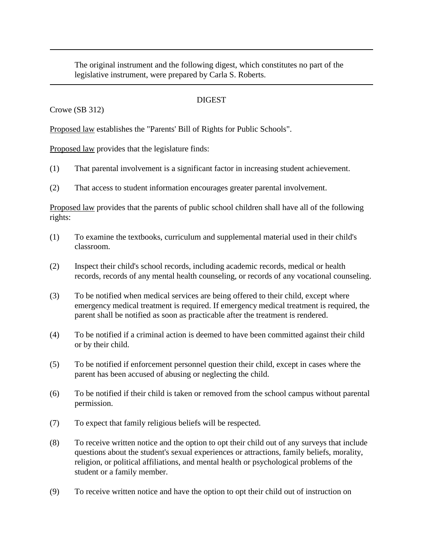The original instrument and the following digest, which constitutes no part of the legislative instrument, were prepared by Carla S. Roberts.

## **DIGEST**

## Crowe (SB 312)

Proposed law establishes the "Parents' Bill of Rights for Public Schools".

Proposed law provides that the legislature finds:

- (1) That parental involvement is a significant factor in increasing student achievement.
- (2) That access to student information encourages greater parental involvement.

Proposed law provides that the parents of public school children shall have all of the following rights:

- (1) To examine the textbooks, curriculum and supplemental material used in their child's classroom.
- (2) Inspect their child's school records, including academic records, medical or health records, records of any mental health counseling, or records of any vocational counseling.
- (3) To be notified when medical services are being offered to their child, except where emergency medical treatment is required. If emergency medical treatment is required, the parent shall be notified as soon as practicable after the treatment is rendered.
- (4) To be notified if a criminal action is deemed to have been committed against their child or by their child.
- (5) To be notified if enforcement personnel question their child, except in cases where the parent has been accused of abusing or neglecting the child.
- (6) To be notified if their child is taken or removed from the school campus without parental permission.
- (7) To expect that family religious beliefs will be respected.
- (8) To receive written notice and the option to opt their child out of any surveys that include questions about the student's sexual experiences or attractions, family beliefs, morality, religion, or political affiliations, and mental health or psychological problems of the student or a family member.
- (9) To receive written notice and have the option to opt their child out of instruction on